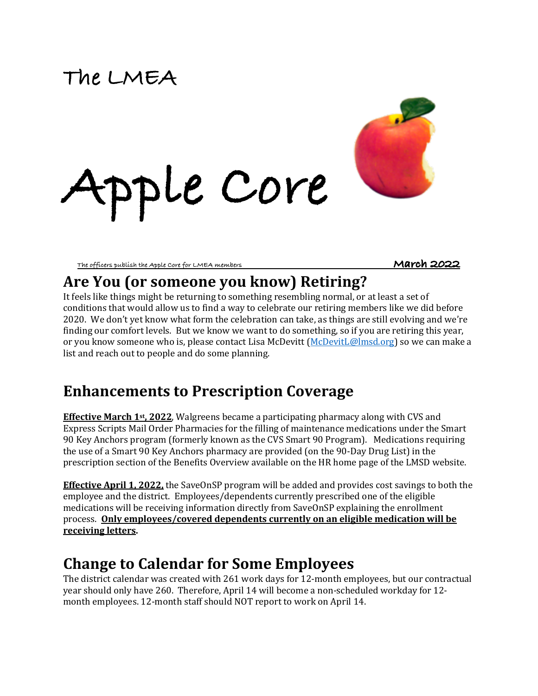# **The LMEA**





### Are You (or someone you know) Retiring?

It feels like things might be returning to something resembling normal, or at least a set of conditions that would allow us to find a way to celebrate our retiring members like we did before 2020. We don't yet know what form the celebration can take, as things are still evolving and we're finding our comfort levels. But we know we want to do something, so if you are retiring this year, or you know someone who is, please contact Lisa McDevitt (McDevitL@lmsd.org) so we can make a list and reach out to people and do some planning.

## **Enhancements to Prescription Coverage**

**Effective March 1st, 2022.** Walgreens became a participating pharmacy along with CVS and Express Scripts Mail Order Pharmacies for the filling of maintenance medications under the Smart 90 Key Anchors program (formerly known as the CVS Smart 90 Program). Medications requiring the use of a Smart 90 Key Anchors pharmacy are provided (on the 90-Day Drug List) in the prescription section of the Benefits Overview available on the HR home page of the LMSD website.

**Effective April 1, 2022,** the SaveOnSP program will be added and provides cost savings to both the employee and the district. Employees/dependents currently prescribed one of the eligible medications will be receiving information directly from SaveOnSP explaining the enrollment process. **Only employees/covered dependents currently on an eligible medication will be receiving letters.** 

## **Change to Calendar for Some Employees**

The district calendar was created with 261 work days for 12-month employees, but our contractual year should only have 260. Therefore, April 14 will become a non-scheduled workday for 12month employees. 12-month staff should NOT report to work on April 14.